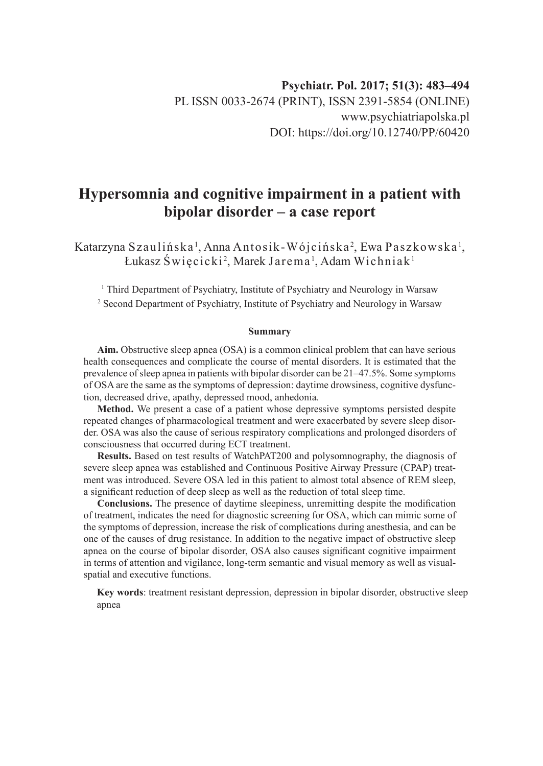# **Hypersomnia and cognitive impairment in a patient with bipolar disorder – a case report**

Katarzyna Szaulińska <sup>1</sup>, Anna Antosik - Wójcińska <sup>2</sup>, Ewa Paszkowska <sup>1</sup>, Łukasz Święcicki<sup>2</sup>, Marek Jarema', Adam Wichniak'

<sup>1</sup> Third Department of Psychiatry, Institute of Psychiatry and Neurology in Warsaw 2 Second Department of Psychiatry, Institute of Psychiatry and Neurology in Warsaw

#### **Summary**

**Aim.** Obstructive sleep apnea (OSA) is a common clinical problem that can have serious health consequences and complicate the course of mental disorders. It is estimated that the prevalence of sleep apnea in patients with bipolar disorder can be 21–47.5%. Some symptoms of OSA are the same as the symptoms of depression: daytime drowsiness, cognitive dysfunction, decreased drive, apathy, depressed mood, anhedonia.

**Method.** We present a case of a patient whose depressive symptoms persisted despite repeated changes of pharmacological treatment and were exacerbated by severe sleep disorder. OSA was also the cause of serious respiratory complications and prolonged disorders of consciousness that occurred during ECT treatment.

**Results.** Based on test results of WatchPAT200 and polysomnography, the diagnosis of severe sleep apnea was established and Continuous Positive Airway Pressure (CPAP) treatment was introduced. Severe OSA led in this patient to almost total absence of REM sleep, a significant reduction of deep sleep as well as the reduction of total sleep time.

**Conclusions.** The presence of daytime sleepiness, unremitting despite the modification of treatment, indicates the need for diagnostic screening for OSA, which can mimic some of the symptoms of depression, increase the risk of complications during anesthesia, and can be one of the causes of drug resistance. In addition to the negative impact of obstructive sleep apnea on the course of bipolar disorder, OSA also causes significant cognitive impairment in terms of attention and vigilance, long-term semantic and visual memory as well as visualspatial and executive functions.

**Key words**: treatment resistant depression, depression in bipolar disorder, obstructive sleep apnea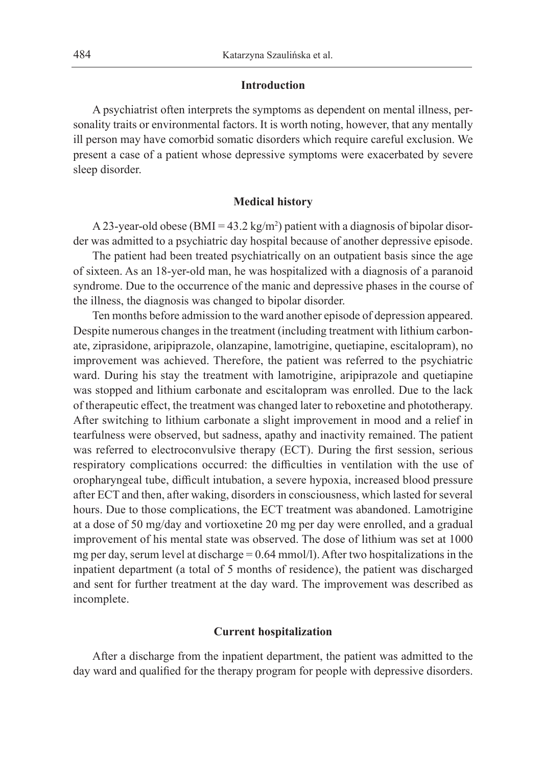## **Introduction**

A psychiatrist often interprets the symptoms as dependent on mental illness, personality traits or environmental factors. It is worth noting, however, that any mentally ill person may have comorbid somatic disorders which require careful exclusion. We present a case of a patient whose depressive symptoms were exacerbated by severe sleep disorder.

### **Medical history**

A 23-year-old obese (BMI = 43.2 kg/m<sup>2</sup>) patient with a diagnosis of bipolar disorder was admitted to a psychiatric day hospital because of another depressive episode.

The patient had been treated psychiatrically on an outpatient basis since the age of sixteen. As an 18-yer-old man, he was hospitalized with a diagnosis of a paranoid syndrome. Due to the occurrence of the manic and depressive phases in the course of the illness, the diagnosis was changed to bipolar disorder.

Ten months before admission to the ward another episode of depression appeared. Despite numerous changes in the treatment (including treatment with lithium carbonate, ziprasidone, aripiprazole, olanzapine, lamotrigine, quetiapine, escitalopram), no improvement was achieved. Therefore, the patient was referred to the psychiatric ward. During his stay the treatment with lamotrigine, aripiprazole and quetiapine was stopped and lithium carbonate and escitalopram was enrolled. Due to the lack of therapeutic effect, the treatment was changed later to reboxetine and phototherapy. After switching to lithium carbonate a slight improvement in mood and a relief in tearfulness were observed, but sadness, apathy and inactivity remained. The patient was referred to electroconvulsive therapy (ECT). During the first session, serious respiratory complications occurred: the difficulties in ventilation with the use of oropharyngeal tube, difficult intubation, a severe hypoxia, increased blood pressure after ECT and then, after waking, disorders in consciousness, which lasted for several hours. Due to those complications, the ECT treatment was abandoned. Lamotrigine at a dose of 50 mg/day and vortioxetine 20 mg per day were enrolled, and a gradual improvement of his mental state was observed. The dose of lithium was set at 1000 mg per day, serum level at discharge  $= 0.64$  mmol/l). After two hospitalizations in the inpatient department (a total of 5 months of residence), the patient was discharged and sent for further treatment at the day ward. The improvement was described as incomplete.

## **Current hospitalization**

After a discharge from the inpatient department, the patient was admitted to the day ward and qualified for the therapy program for people with depressive disorders.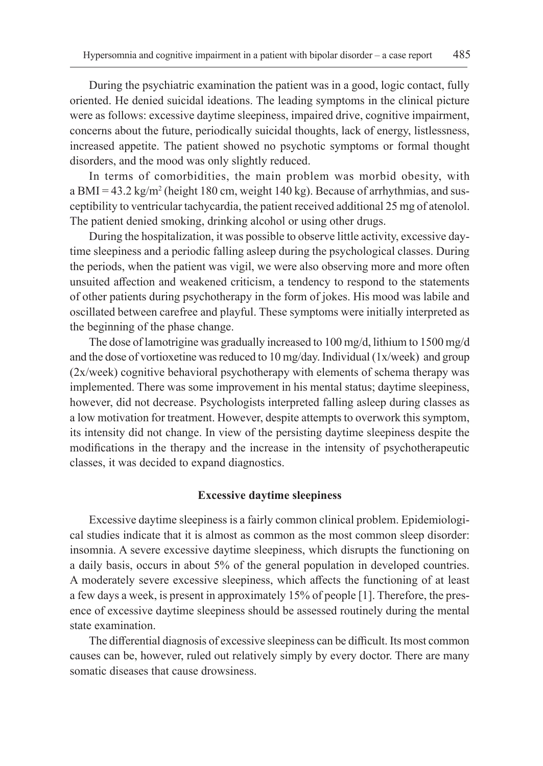During the psychiatric examination the patient was in a good, logic contact, fully oriented. He denied suicidal ideations. The leading symptoms in the clinical picture were as follows: excessive daytime sleepiness, impaired drive, cognitive impairment, concerns about the future, periodically suicidal thoughts, lack of energy, listlessness, increased appetite. The patient showed no psychotic symptoms or formal thought disorders, and the mood was only slightly reduced.

In terms of comorbidities, the main problem was morbid obesity, with a BMI = 43.2 kg/m<sup>2</sup> (height 180 cm, weight 140 kg). Because of arrhythmias, and susceptibility to ventricular tachycardia, the patient received additional 25 mg of atenolol. The patient denied smoking, drinking alcohol or using other drugs.

During the hospitalization, it was possible to observe little activity, excessive daytime sleepiness and a periodic falling asleep during the psychological classes. During the periods, when the patient was vigil, we were also observing more and more often unsuited affection and weakened criticism, a tendency to respond to the statements of other patients during psychotherapy in the form of jokes. His mood was labile and oscillated between carefree and playful. These symptoms were initially interpreted as the beginning of the phase change.

The dose of lamotrigine was gradually increased to 100 mg/d, lithium to 1500 mg/d and the dose of vortioxetine was reduced to 10 mg/day. Individual (1x/week) and group (2x/week) cognitive behavioral psychotherapy with elements of schema therapy was implemented. There was some improvement in his mental status; daytime sleepiness, however, did not decrease. Psychologists interpreted falling asleep during classes as a low motivation for treatment. However, despite attempts to overwork this symptom, its intensity did not change. In view of the persisting daytime sleepiness despite the modifications in the therapy and the increase in the intensity of psychotherapeutic classes, it was decided to expand diagnostics.

## **Excessive daytime sleepiness**

Excessive daytime sleepiness is a fairly common clinical problem. Epidemiological studies indicate that it is almost as common as the most common sleep disorder: insomnia. A severe excessive daytime sleepiness, which disrupts the functioning on a daily basis, occurs in about 5% of the general population in developed countries. A moderately severe excessive sleepiness, which affects the functioning of at least a few days a week, is present in approximately 15% of people [1]. Therefore, the presence of excessive daytime sleepiness should be assessed routinely during the mental state examination.

The differential diagnosis of excessive sleepiness can be difficult. Its most common causes can be, however, ruled out relatively simply by every doctor. There are many somatic diseases that cause drowsiness.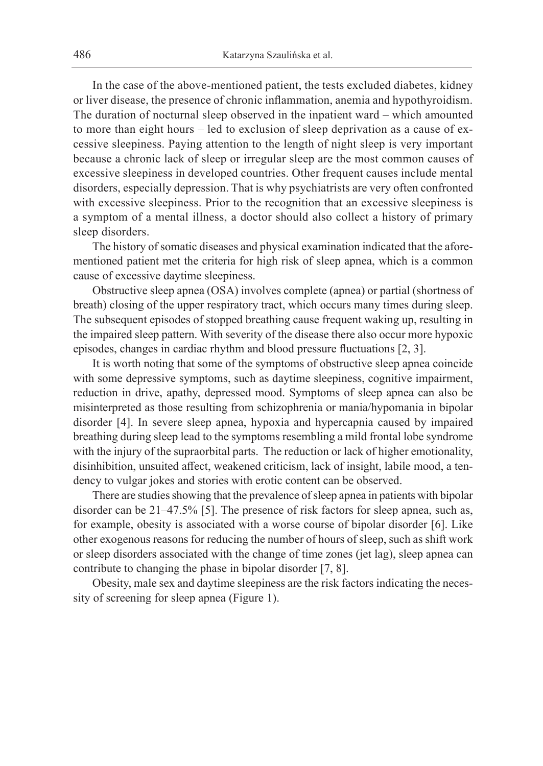In the case of the above-mentioned patient, the tests excluded diabetes, kidney or liver disease, the presence of chronic inflammation, anemia and hypothyroidism. The duration of nocturnal sleep observed in the inpatient ward – which amounted to more than eight hours – led to exclusion of sleep deprivation as a cause of excessive sleepiness. Paying attention to the length of night sleep is very important because a chronic lack of sleep or irregular sleep are the most common causes of excessive sleepiness in developed countries. Other frequent causes include mental disorders, especially depression. That is why psychiatrists are very often confronted with excessive sleepiness. Prior to the recognition that an excessive sleepiness is a symptom of a mental illness, a doctor should also collect a history of primary sleep disorders.

The history of somatic diseases and physical examination indicated that the aforementioned patient met the criteria for high risk of sleep apnea, which is a common cause of excessive daytime sleepiness.

Obstructive sleep apnea (OSA) involves complete (apnea) or partial (shortness of breath) closing of the upper respiratory tract, which occurs many times during sleep. The subsequent episodes of stopped breathing cause frequent waking up, resulting in the impaired sleep pattern. With severity of the disease there also occur more hypoxic episodes, changes in cardiac rhythm and blood pressure fluctuations [2, 3].

It is worth noting that some of the symptoms of obstructive sleep apnea coincide with some depressive symptoms, such as daytime sleepiness, cognitive impairment, reduction in drive, apathy, depressed mood. Symptoms of sleep apnea can also be misinterpreted as those resulting from schizophrenia or mania/hypomania in bipolar disorder [4]. In severe sleep apnea, hypoxia and hypercapnia caused by impaired breathing during sleep lead to the symptoms resembling a mild frontal lobe syndrome with the injury of the supraorbital parts. The reduction or lack of higher emotionality, disinhibition, unsuited affect, weakened criticism, lack of insight, labile mood, a tendency to vulgar jokes and stories with erotic content can be observed.

There are studies showing that the prevalence of sleep apnea in patients with bipolar disorder can be 21–47.5% [5]. The presence of risk factors for sleep apnea, such as, for example, obesity is associated with a worse course of bipolar disorder [6]. Like other exogenous reasons for reducing the number of hours of sleep, such as shift work or sleep disorders associated with the change of time zones (jet lag), sleep apnea can contribute to changing the phase in bipolar disorder [7, 8].

Obesity, male sex and daytime sleepiness are the risk factors indicating the necessity of screening for sleep apnea (Figure 1).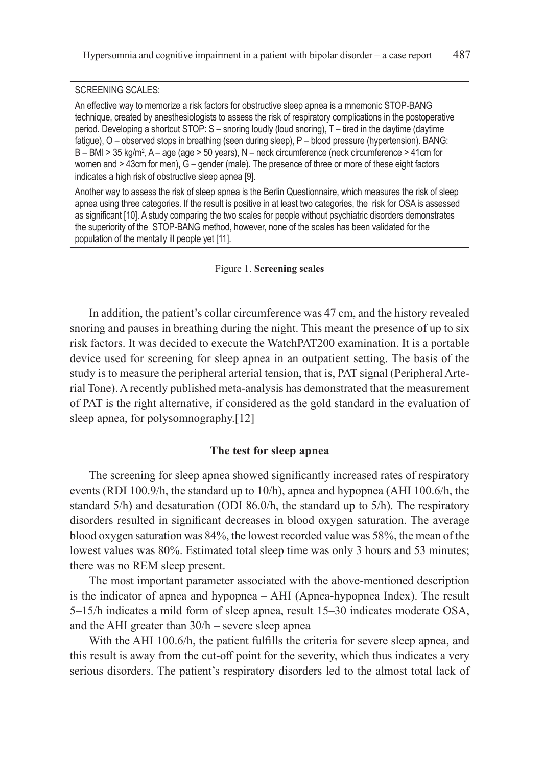#### SCREENING SCALES:

An effective way to memorize a risk factors for obstructive sleep apnea is a mnemonic STOP-BANG technique, created by anesthesiologists to assess the risk of respiratory complications in the postoperative period. Developing a shortcut STOP: S – snoring loudly (loud snoring), T – tired in the daytime (daytime fatigue), O – observed stops in breathing (seen during sleep), P – blood pressure (hypertension). BANG: B – BMI > 35 kg/m², A – age (age > 50 years), N – neck circumference (neck circumference > 41cm for women and > 43cm for men), G – gender (male). The presence of three or more of these eight factors indicates a high risk of obstructive sleep apnea [9].

Another way to assess the risk of sleep apnea is the Berlin Questionnaire, which measures the risk of sleep apnea using three categories. If the result is positive in at least two categories, the risk for OSA is assessed as significant [10]. A study comparing the two scales for people without psychiatric disorders demonstrates the superiority of the STOP-BANG method, however, none of the scales has been validated for the population of the mentally ill people yet [11].

#### Figure 1. **Screening scales**

In addition, the patient's collar circumference was 47 cm, and the history revealed snoring and pauses in breathing during the night. This meant the presence of up to six risk factors. It was decided to execute the WatchPAT200 examination. It is a portable device used for screening for sleep apnea in an outpatient setting. The basis of the study is to measure the peripheral arterial tension, that is, PAT signal (Peripheral Arterial Tone). A recently published meta-analysis has demonstrated that the measurement of PAT is the right alternative, if considered as the gold standard in the evaluation of sleep apnea, for polysomnography.[12]

# **The test for sleep apnea**

The screening for sleep apnea showed significantly increased rates of respiratory events (RDI 100.9/h, the standard up to 10/h), apnea and hypopnea (AHI 100.6/h, the standard 5/h) and desaturation (ODI 86.0/h, the standard up to 5/h). The respiratory disorders resulted in significant decreases in blood oxygen saturation. The average blood oxygen saturation was 84%, the lowest recorded value was 58%, the mean of the lowest values was 80%. Estimated total sleep time was only 3 hours and 53 minutes; there was no REM sleep present.

The most important parameter associated with the above-mentioned description is the indicator of apnea and hypopnea – AHI (Apnea-hypopnea Index). The result 5–15/h indicates a mild form of sleep apnea, result 15–30 indicates moderate OSA, and the AHI greater than 30/h – severe sleep apnea

With the AHI 100.6/h, the patient fulfills the criteria for severe sleep apnea, and this result is away from the cut-off point for the severity, which thus indicates a very serious disorders. The patient's respiratory disorders led to the almost total lack of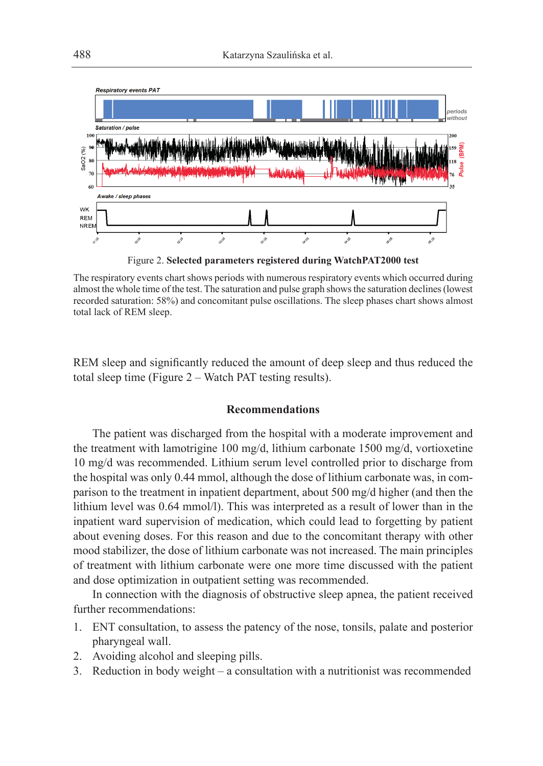

Figure 2. **Selected parameters registered during WatchPAT2000 test**

The respiratory events chart shows periods with numerous respiratory events which occurred during almost the whole time of the test. The saturation and pulse graph shows the saturation declines (lowest recorded saturation: 58%) and concomitant pulse oscillations. The sleep phases chart shows almost total lack of REM sleep.

REM sleep and significantly reduced the amount of deep sleep and thus reduced the total sleep time (Figure 2 – Watch PAT testing results).

# **Recommendations**

The patient was discharged from the hospital with a moderate improvement and the treatment with lamotrigine 100 mg/d, lithium carbonate 1500 mg/d, vortioxetine 10 mg/d was recommended. Lithium serum level controlled prior to discharge from the hospital was only 0.44 mmol, although the dose of lithium carbonate was, in comparison to the treatment in inpatient department, about 500 mg/d higher (and then the lithium level was 0.64 mmol/l). This was interpreted as a result of lower than in the inpatient ward supervision of medication, which could lead to forgetting by patient about evening doses. For this reason and due to the concomitant therapy with other mood stabilizer, the dose of lithium carbonate was not increased. The main principles of treatment with lithium carbonate were one more time discussed with the patient and dose optimization in outpatient setting was recommended.

In connection with the diagnosis of obstructive sleep apnea, the patient received further recommendations:

- 1. ENT consultation, to assess the patency of the nose, tonsils, palate and posterior pharyngeal wall.
- 2. Avoiding alcohol and sleeping pills.
- 3. Reduction in body weight a consultation with a nutritionist was recommended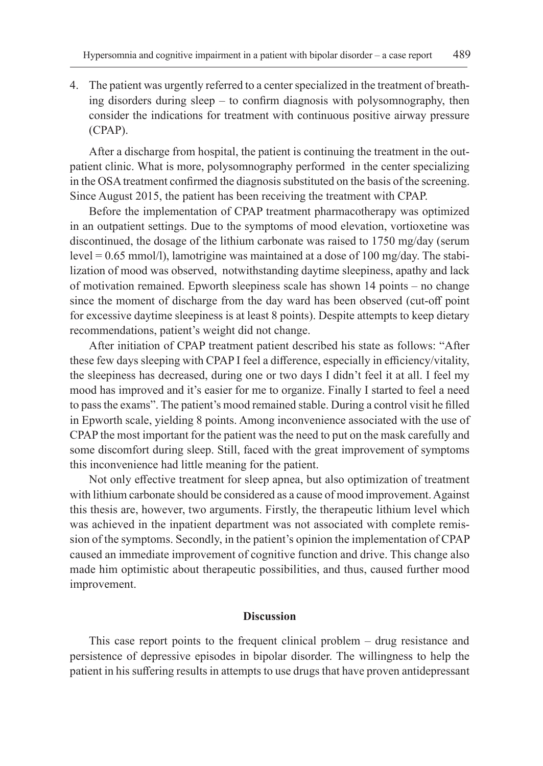4. The patient was urgently referred to a center specialized in the treatment of breathing disorders during sleep – to confirm diagnosis with polysomnography, then consider the indications for treatment with continuous positive airway pressure (CPAP).

After a discharge from hospital, the patient is continuing the treatment in the outpatient clinic. What is more, polysomnography performed in the center specializing in the OSA treatment confirmed the diagnosis substituted on the basis of the screening. Since August 2015, the patient has been receiving the treatment with CPAP.

Before the implementation of CPAP treatment pharmacotherapy was optimized in an outpatient settings. Due to the symptoms of mood elevation, vortioxetine was discontinued, the dosage of the lithium carbonate was raised to 1750 mg/day (serum level = 0.65 mmol/l), lamotrigine was maintained at a dose of 100 mg/day. The stabilization of mood was observed, notwithstanding daytime sleepiness, apathy and lack of motivation remained. Epworth sleepiness scale has shown 14 points – no change since the moment of discharge from the day ward has been observed (cut-off point for excessive daytime sleepiness is at least 8 points). Despite attempts to keep dietary recommendations, patient's weight did not change.

After initiation of CPAP treatment patient described his state as follows: "After these few days sleeping with CPAP I feel a difference, especially in efficiency/vitality, the sleepiness has decreased, during one or two days I didn't feel it at all. I feel my mood has improved and it's easier for me to organize. Finally I started to feel a need to pass the exams". The patient's mood remained stable. During a control visit he filled in Epworth scale, yielding 8 points. Among inconvenience associated with the use of CPAP the most important for the patient was the need to put on the mask carefully and some discomfort during sleep. Still, faced with the great improvement of symptoms this inconvenience had little meaning for the patient.

Not only effective treatment for sleep apnea, but also optimization of treatment with lithium carbonate should be considered as a cause of mood improvement. Against this thesis are, however, two arguments. Firstly, the therapeutic lithium level which was achieved in the inpatient department was not associated with complete remission of the symptoms. Secondly, in the patient's opinion the implementation of CPAP caused an immediate improvement of cognitive function and drive. This change also made him optimistic about therapeutic possibilities, and thus, caused further mood improvement.

# **Discussion**

This case report points to the frequent clinical problem – drug resistance and persistence of depressive episodes in bipolar disorder. The willingness to help the patient in his suffering results in attempts to use drugs that have proven antidepressant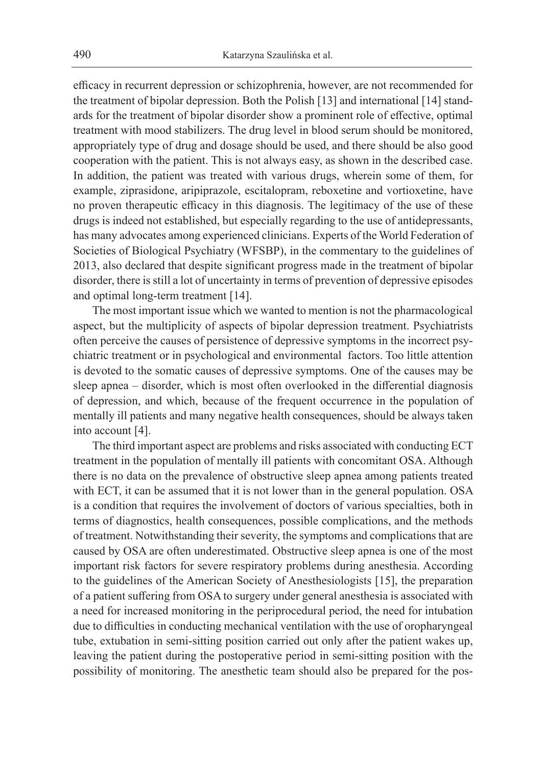efficacy in recurrent depression or schizophrenia, however, are not recommended for the treatment of bipolar depression. Both the Polish [13] and international [14] standards for the treatment of bipolar disorder show a prominent role of effective, optimal treatment with mood stabilizers. The drug level in blood serum should be monitored, appropriately type of drug and dosage should be used, and there should be also good cooperation with the patient. This is not always easy, as shown in the described case. In addition, the patient was treated with various drugs, wherein some of them, for example, ziprasidone, aripiprazole, escitalopram, reboxetine and vortioxetine, have no proven therapeutic efficacy in this diagnosis. The legitimacy of the use of these drugs is indeed not established, but especially regarding to the use of antidepressants, has many advocates among experienced clinicians. Experts of the World Federation of Societies of Biological Psychiatry (WFSBP), in the commentary to the guidelines of 2013, also declared that despite significant progress made in the treatment of bipolar disorder, there is still a lot of uncertainty in terms of prevention of depressive episodes and optimal long-term treatment [14].

The most important issue which we wanted to mention is not the pharmacological aspect, but the multiplicity of aspects of bipolar depression treatment. Psychiatrists often perceive the causes of persistence of depressive symptoms in the incorrect psychiatric treatment or in psychological and environmental factors. Too little attention is devoted to the somatic causes of depressive symptoms. One of the causes may be sleep apnea – disorder, which is most often overlooked in the differential diagnosis of depression, and which, because of the frequent occurrence in the population of mentally ill patients and many negative health consequences, should be always taken into account [4].

The third important aspect are problems and risks associated with conducting ECT treatment in the population of mentally ill patients with concomitant OSA. Although there is no data on the prevalence of obstructive sleep apnea among patients treated with ECT, it can be assumed that it is not lower than in the general population. OSA is a condition that requires the involvement of doctors of various specialties, both in terms of diagnostics, health consequences, possible complications, and the methods of treatment. Notwithstanding their severity, the symptoms and complications that are caused by OSA are often underestimated. Obstructive sleep apnea is one of the most important risk factors for severe respiratory problems during anesthesia. According to the guidelines of the American Society of Anesthesiologists [15], the preparation of a patient suffering from OSA to surgery under general anesthesia is associated with a need for increased monitoring in the periprocedural period, the need for intubation due to difficulties in conducting mechanical ventilation with the use of oropharyngeal tube, extubation in semi-sitting position carried out only after the patient wakes up, leaving the patient during the postoperative period in semi-sitting position with the possibility of monitoring. The anesthetic team should also be prepared for the pos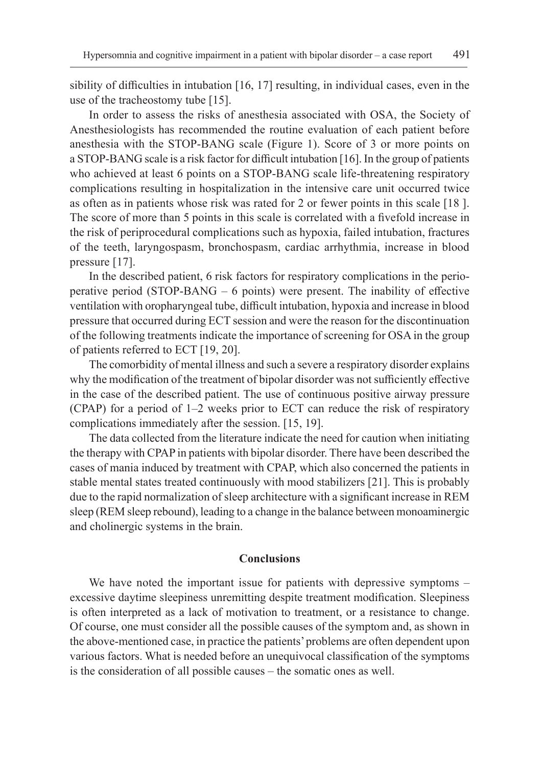sibility of difficulties in intubation [16, 17] resulting, in individual cases, even in the use of the tracheostomy tube [15].

In order to assess the risks of anesthesia associated with OSA, the Society of Anesthesiologists has recommended the routine evaluation of each patient before anesthesia with the STOP-BANG scale (Figure 1). Score of 3 or more points on a STOP-BANG scale is a risk factor for difficult intubation [16]. In the group of patients who achieved at least 6 points on a STOP-BANG scale life-threatening respiratory complications resulting in hospitalization in the intensive care unit occurred twice as often as in patients whose risk was rated for 2 or fewer points in this scale [18 ]. The score of more than 5 points in this scale is correlated with a fivefold increase in the risk of periprocedural complications such as hypoxia, failed intubation, fractures of the teeth, laryngospasm, bronchospasm, cardiac arrhythmia, increase in blood pressure [17].

In the described patient, 6 risk factors for respiratory complications in the perioperative period (STOP-BANG – 6 points) were present. The inability of effective ventilation with oropharyngeal tube, difficult intubation, hypoxia and increase in blood pressure that occurred during ECT session and were the reason for the discontinuation of the following treatments indicate the importance of screening for OSA in the group of patients referred to ECT [19, 20].

The comorbidity of mental illness and such a severe a respiratory disorder explains why the modification of the treatment of bipolar disorder was not sufficiently effective in the case of the described patient. The use of continuous positive airway pressure (CPAP) for a period of 1–2 weeks prior to ECT can reduce the risk of respiratory complications immediately after the session. [15, 19].

The data collected from the literature indicate the need for caution when initiating the therapy with CPAP in patients with bipolar disorder. There have been described the cases of mania induced by treatment with CPAP, which also concerned the patients in stable mental states treated continuously with mood stabilizers [21]. This is probably due to the rapid normalization of sleep architecture with a significant increase in REM sleep (REM sleep rebound), leading to a change in the balance between monoaminergic and cholinergic systems in the brain.

# **Conclusions**

We have noted the important issue for patients with depressive symptoms – excessive daytime sleepiness unremitting despite treatment modification. Sleepiness is often interpreted as a lack of motivation to treatment, or a resistance to change. Of course, one must consider all the possible causes of the symptom and, as shown in the above-mentioned case, in practice the patients' problems are often dependent upon various factors. What is needed before an unequivocal classification of the symptoms is the consideration of all possible causes – the somatic ones as well.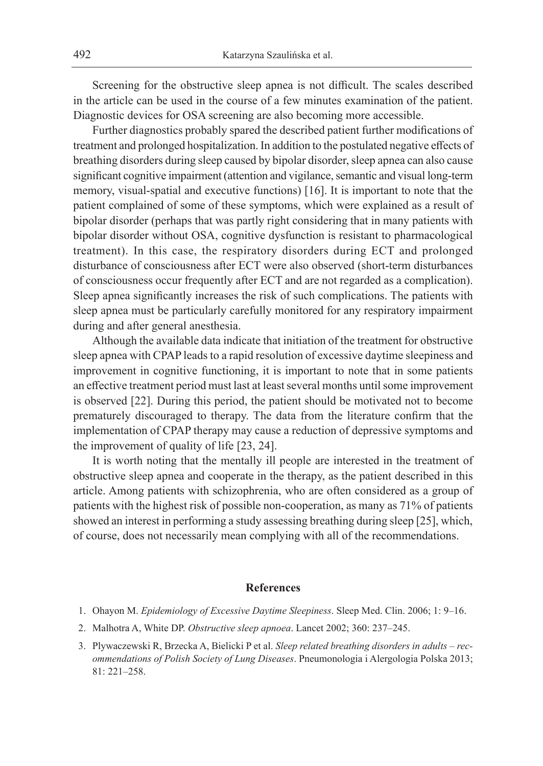Screening for the obstructive sleep apnea is not difficult. The scales described in the article can be used in the course of a few minutes examination of the patient. Diagnostic devices for OSA screening are also becoming more accessible.

Further diagnostics probably spared the described patient further modifications of treatment and prolonged hospitalization. In addition to the postulated negative effects of breathing disorders during sleep caused by bipolar disorder, sleep apnea can also cause significant cognitive impairment (attention and vigilance, semantic and visual long-term memory, visual-spatial and executive functions) [16]. It is important to note that the patient complained of some of these symptoms, which were explained as a result of bipolar disorder (perhaps that was partly right considering that in many patients with bipolar disorder without OSA, cognitive dysfunction is resistant to pharmacological treatment). In this case, the respiratory disorders during ECT and prolonged disturbance of consciousness after ECT were also observed (short-term disturbances of consciousness occur frequently after ECT and are not regarded as a complication). Sleep apnea significantly increases the risk of such complications. The patients with sleep apnea must be particularly carefully monitored for any respiratory impairment during and after general anesthesia.

Although the available data indicate that initiation of the treatment for obstructive sleep apnea with CPAP leads to a rapid resolution of excessive daytime sleepiness and improvement in cognitive functioning, it is important to note that in some patients an effective treatment period must last at least several months until some improvement is observed [22]. During this period, the patient should be motivated not to become prematurely discouraged to therapy. The data from the literature confirm that the implementation of CPAP therapy may cause a reduction of depressive symptoms and the improvement of quality of life [23, 24].

It is worth noting that the mentally ill people are interested in the treatment of obstructive sleep apnea and cooperate in the therapy, as the patient described in this article. Among patients with schizophrenia, who are often considered as a group of patients with the highest risk of possible non-cooperation, as many as 71% of patients showed an interest in performing a study assessing breathing during sleep [25], which, of course, does not necessarily mean complying with all of the recommendations.

## **References**

- 1. Ohayon M. *Epidemiology of Excessive Daytime Sleepiness*. Sleep Med. Clin. 2006; 1: 9–16.
- 2. Malhotra A, White DP. *Obstructive sleep apnoea*. Lancet 2002; 360: 237–245.
- 3. Plywaczewski R, Brzecka A, Bielicki P et al. *Sleep related breathing disorders in adults recommendations of Polish Society of Lung Diseases*. Pneumonologia i Alergologia Polska 2013; 81: 221–258.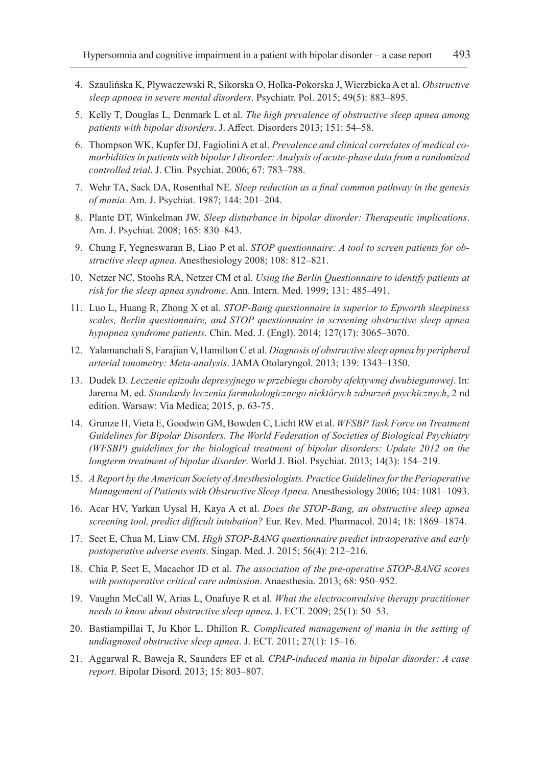- 4. Szaulińska K, Pływaczewski R, Sikorska O, Holka-Pokorska J, Wierzbicka A et al. *Obstructive sleep apnoea in severe mental disorders*. Psychiatr. Pol. 2015; 49(5): 883–895.
- 5. Kelly T, Douglas L, Denmark L et al. *The high prevalence of obstructive sleep apnea among patients with bipolar disorders*. J. Affect. Disorders 2013; 151: 54–58.
- 6. Thompson WK, Kupfer DJ, Fagiolini A et al. *Prevalence and clinical correlates of medical comorbidities in patients with bipolar I disorder: Analysis of acute-phase data from a randomized controlled trial*. J. Clin. Psychiat. 2006; 67: 783–788.
- 7. Wehr TA, Sack DA, Rosenthal NE. *Sleep reduction as a final common pathway in the genesis of mania*. Am. J. Psychiat. 1987; 144: 201–204.
- 8. Plante DT, Winkelman JW. *Sleep disturbance in bipolar disorder: Therapeutic implications*. Am. J. Psychiat. 2008; 165: 830–843.
- 9. Chung F, Yegneswaran B, Liao P et al. *STOP questionnaire: A tool to screen patients for obstructive sleep apnea*. Anesthesiology 2008; 108: 812–821.
- 10. Netzer NC, Stoohs RA, Netzer CM et al. *Using the Berlin Questionnaire to identify patients at risk for the sleep apnea syndrome*. Ann. Intern. Med. 1999; 131: 485–491.
- 11. Luo L, Huang R, Zhong X et al. *STOP-Bang questionnaire is superior to Epworth sleepiness scales, Berlin questionnaire, and STOP questionnaire in screening obstructive sleep apnea hypopnea syndrome patients*. Chin. Med. J. (Engl). 2014; 127(17): 3065–3070.
- 12. Yalamanchali S, Farajian V, Hamilton C et al. *Diagnosis of obstructive sleep apnea by peripheral arterial tonometry: Meta-analysis*. JAMA Otolaryngol. 2013; 139: 1343–1350.
- 13. Dudek D. *Leczenie epizodu depresyjnego w przebiegu choroby afektywnej dwubiegunowej*. In: Jarema M. ed. *Standardy leczenia farmakologicznego niektórych zaburzeń psychicznych*, 2 nd edition. Warsaw: Via Medica; 2015, p. 63-75.
- 14. Grunze H, Vieta E, Goodwin GM, Bowden C, Licht RW et al. *WFSBP Task Force on Treatment Guidelines for Bipolar Disorders. The World Federation of Societies of Biological Psychiatry (WFSBP) guidelines for the biological treatment of bipolar disorders: Update 2012 on the longterm treatment of bipolar disorder*. World J. Biol. Psychiat. 2013; 14(3): 154–219.
- 15. *A Report by the American Society of Anesthesiologists. Practice Guidelines for the Perioperative Management of Patients with Obstructive Sleep Apnea*. Anesthesiology 2006; 104: 1081–1093.
- 16. Acar HV, Yarkan Uysal H, Kaya A et al. *Does the STOP-Bang, an obstructive sleep apnea screening tool, predict difficult intubation?* Eur. Rev. Med. Pharmacol. 2014; 18: 1869–1874.
- 17. Seet E, Chua M, Liaw CM. *High STOP-BANG questionnaire predict intraoperative and early postoperative adverse events*. Singap. Med. J. 2015; 56(4): 212–216.
- 18. Chia P, Seet E, Macachor JD et al. *The association of the pre-operative STOP-BANG scores with postoperative critical care admission*. Anaesthesia. 2013; 68: 950–952.
- 19. Vaughn McCall W, Arias L, Onafuye R et al. *What the electroconvulsive therapy practitioner needs to know about obstructive sleep apnea*. J. ECT. 2009; 25(1): 50–53.
- 20. Bastiampillai T, Ju Khor L, Dhillon R. *Complicated management of mania in the setting of undiagnosed obstructive sleep apnea*. J. ECT. 2011; 27(1): 15–16.
- 21. Aggarwal R, Baweja R, Saunders EF et al. *CPAP-induced mania in bipolar disorder: A case report*. Bipolar Disord. 2013; 15: 803–807.